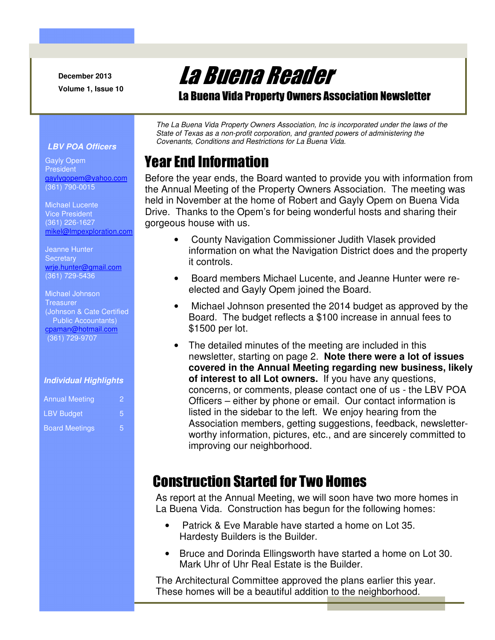**December 2013 Volume 1, Issue 10** 

# La Buena Reader

La Buena Vida Property Owners Association Newsletter

*The La Buena Vida Property Owners Association, Inc is incorporated under the laws of the State of Texas as a non-profit corporation, and granted powers of administering the Covenants, Conditions and Restrictions for La Buena Vida.* 

# Year End Information

Before the year ends, the Board wanted to provide you with information from the Annual Meeting of the Property Owners Association. The meeting was held in November at the home of Robert and Gayly Opem on Buena Vida Drive. Thanks to the Opem's for being wonderful hosts and sharing their gorgeous house with us.

- County Navigation Commissioner Judith Vlasek provided information on what the Navigation District does and the property it controls.
- Board members Michael Lucente, and Jeanne Hunter were reelected and Gayly Opem joined the Board.
- Michael Johnson presented the 2014 budget as approved by the Board. The budget reflects a \$100 increase in annual fees to \$1500 per lot.
- The detailed minutes of the meeting are included in this newsletter, starting on page 2. **Note there were a lot of issues covered in the Annual Meeting regarding new business, likely of interest to all Lot owners.** If you have any questions, concerns, or comments, please contact one of us - the LBV POA Officers – either by phone or email. Our contact information is listed in the sidebar to the left. We enjoy hearing from the Association members, getting suggestions, feedback, newsletterworthy information, pictures, etc., and are sincerely committed to improving our neighborhood.

# Construction Started for Two Homes

As report at the Annual Meeting, we will soon have two more homes in La Buena Vida. Construction has begun for the following homes:

- Patrick & Eve Marable have started a home on Lot 35. Hardesty Builders is the Builder.
- Bruce and Dorinda Ellingsworth have started a home on Lot 30. Mark Uhr of Uhr Real Estate is the Builder.

The Architectural Committee approved the plans earlier this year. These homes will be a beautiful addition to the neighborhood.

#### *LBV POA Officers*

Gayly Opem President gaylygopem@yahoo.com (361) 790-0015

Michael Lucente Vice President (361) 226-1627 mikel@lmpexploration.com

Jeanne Hunter **Secretary** wrje.hunter@gmail.com (361) 729-5436

Michael Johnson **Treasurer** (Johnson & Cate Certified Public Accountants) cpaman@hotmail.com (361) 729-9707

#### *Individual Highlights*

| <b>Annual Meeting</b> |   |
|-----------------------|---|
| <b>LBV Budget</b>     |   |
| <b>Board Meetings</b> | Б |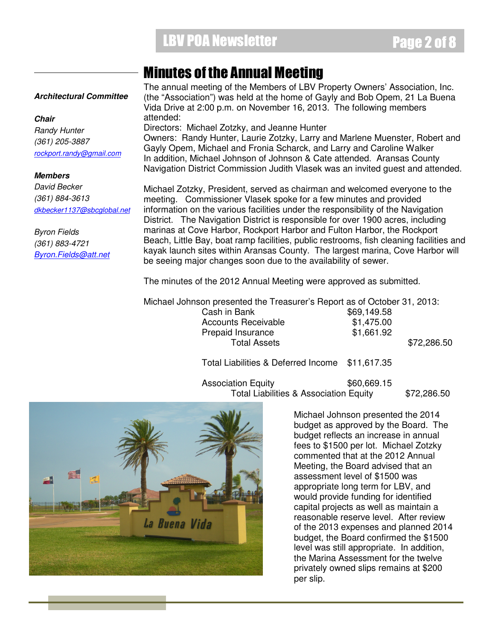# **LBV POA Newsletter Page 2 of 8**

### Minutes of the Annual Meeting

#### *Architectural Committee*

*Chair Randy Hunter (361) 205-3887 rockport.randy@gmail.com*

#### *Members*

*David Becker (361) 884-3613 dkbecker1137@sbcglobal.net*

*Byron Fields (361) 883-4721 Byron.Fields@att.net* The annual meeting of the Members of LBV Property Owners' Association, Inc. (the "Association") was held at the home of Gayly and Bob Opem, 21 La Buena Vida Drive at 2:00 p.m. on November 16, 2013. The following members attended: Directors: Michael Zotzky, and Jeanne Hunter Owners: Randy Hunter, Laurie Zotzky, Larry and Marlene Muenster, Robert and Gayly Opem, Michael and Fronia Scharck, and Larry and Caroline Walker

In addition, Michael Johnson of Johnson & Cate attended. Aransas County Navigation District Commission Judith Vlasek was an invited guest and attended. Michael Zotzky, President, served as chairman and welcomed everyone to the

meeting. Commissioner Vlasek spoke for a few minutes and provided information on the various facilities under the responsibility of the Navigation District. The Navigation District is responsible for over 1900 acres, including marinas at Cove Harbor, Rockport Harbor and Fulton Harbor, the Rockport Beach, Little Bay, boat ramp facilities, public restrooms, fish cleaning facilities and kayak launch sites within Aransas County. The largest marina, Cove Harbor will be seeing major changes soon due to the availability of sewer.

The minutes of the 2012 Annual Meeting were approved as submitted.

Michael Johnson presented the Treasurer's Report as of October 31, 2013:

Cash in Bank  $$69,149.58$ Accounts Receivable  $$1.475.00$ Prepaid Insurance \$1,661.92<br>Total Assets

\$72,286.50

Total Liabilities & Deferred Income \$11,617.35

Association Equity **\$60.669.15** Total Liabilities & Association Equity \$72,286.50



Michael Johnson presented the 2014 budget as approved by the Board. The budget reflects an increase in annual fees to \$1500 per lot. Michael Zotzky commented that at the 2012 Annual Meeting, the Board advised that an assessment level of \$1500 was appropriate long term for LBV, and would provide funding for identified capital projects as well as maintain a reasonable reserve level. After review of the 2013 expenses and planned 2014 budget, the Board confirmed the \$1500 level was still appropriate. In addition, the Marina Assessment for the twelve privately owned slips remains at \$200 per slip.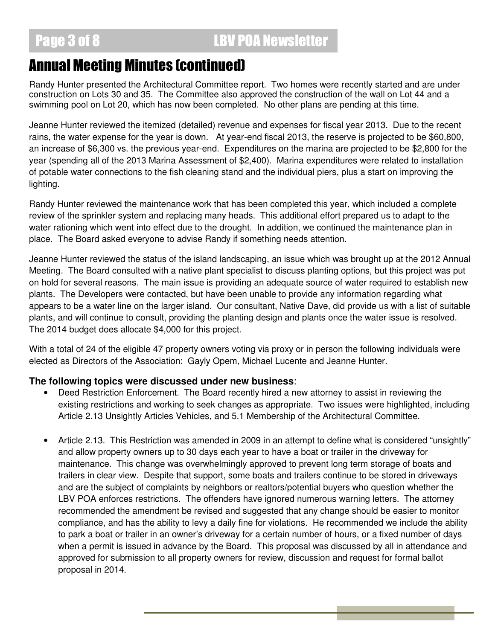### Annual Meeting Minutes (continued)

Randy Hunter presented the Architectural Committee report. Two homes were recently started and are under construction on Lots 30 and 35. The Committee also approved the construction of the wall on Lot 44 and a swimming pool on Lot 20, which has now been completed. No other plans are pending at this time.

Jeanne Hunter reviewed the itemized (detailed) revenue and expenses for fiscal year 2013. Due to the recent rains, the water expense for the year is down. At year-end fiscal 2013, the reserve is projected to be \$60,800, an increase of \$6,300 vs. the previous year-end. Expenditures on the marina are projected to be \$2,800 for the year (spending all of the 2013 Marina Assessment of \$2,400). Marina expenditures were related to installation of potable water connections to the fish cleaning stand and the individual piers, plus a start on improving the lighting.

Randy Hunter reviewed the maintenance work that has been completed this year, which included a complete review of the sprinkler system and replacing many heads. This additional effort prepared us to adapt to the water rationing which went into effect due to the drought. In addition, we continued the maintenance plan in place. The Board asked everyone to advise Randy if something needs attention.

Jeanne Hunter reviewed the status of the island landscaping, an issue which was brought up at the 2012 Annual Meeting. The Board consulted with a native plant specialist to discuss planting options, but this project was put on hold for several reasons. The main issue is providing an adequate source of water required to establish new plants. The Developers were contacted, but have been unable to provide any information regarding what appears to be a water line on the larger island. Our consultant, Native Dave, did provide us with a list of suitable plants, and will continue to consult, providing the planting design and plants once the water issue is resolved. The 2014 budget does allocate \$4,000 for this project.

With a total of 24 of the eligible 47 property owners voting via proxy or in person the following individuals were elected as Directors of the Association: Gayly Opem, Michael Lucente and Jeanne Hunter.

#### **The following topics were discussed under new business**:

- Deed Restriction Enforcement. The Board recently hired a new attorney to assist in reviewing the existing restrictions and working to seek changes as appropriate. Two issues were highlighted, including Article 2.13 Unsightly Articles Vehicles, and 5.1 Membership of the Architectural Committee.
- Article 2.13. This Restriction was amended in 2009 in an attempt to define what is considered "unsightly" and allow property owners up to 30 days each year to have a boat or trailer in the driveway for maintenance. This change was overwhelmingly approved to prevent long term storage of boats and trailers in clear view. Despite that support, some boats and trailers continue to be stored in driveways and are the subject of complaints by neighbors or realtors/potential buyers who question whether the LBV POA enforces restrictions. The offenders have ignored numerous warning letters. The attorney recommended the amendment be revised and suggested that any change should be easier to monitor compliance, and has the ability to levy a daily fine for violations. He recommended we include the ability to park a boat or trailer in an owner's driveway for a certain number of hours, or a fixed number of days when a permit is issued in advance by the Board. This proposal was discussed by all in attendance and approved for submission to all property owners for review, discussion and request for formal ballot proposal in 2014.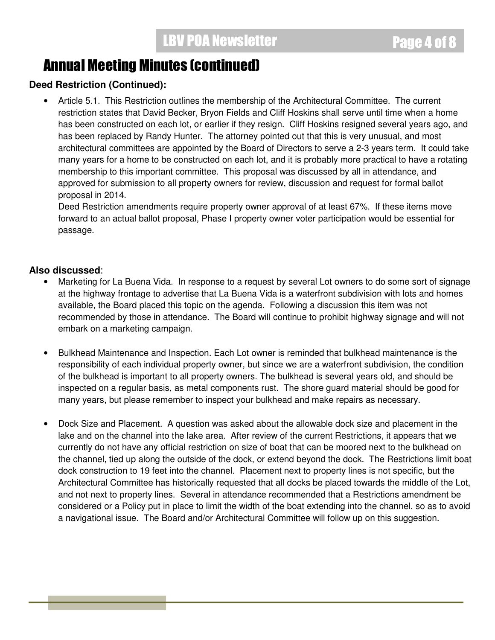### Annual Meeting Minutes (continued)

#### **Deed Restriction (Continued):**

• Article 5.1. This Restriction outlines the membership of the Architectural Committee. The current restriction states that David Becker, Bryon Fields and Cliff Hoskins shall serve until time when a home has been constructed on each lot, or earlier if they resign. Cliff Hoskins resigned several years ago, and has been replaced by Randy Hunter. The attorney pointed out that this is very unusual, and most architectural committees are appointed by the Board of Directors to serve a 2-3 years term. It could take many years for a home to be constructed on each lot, and it is probably more practical to have a rotating membership to this important committee. This proposal was discussed by all in attendance, and approved for submission to all property owners for review, discussion and request for formal ballot proposal in 2014.

Deed Restriction amendments require property owner approval of at least 67%. If these items move forward to an actual ballot proposal, Phase I property owner voter participation would be essential for passage.

#### **Also discussed**:

- Marketing for La Buena Vida. In response to a request by several Lot owners to do some sort of signage at the highway frontage to advertise that La Buena Vida is a waterfront subdivision with lots and homes available, the Board placed this topic on the agenda. Following a discussion this item was not recommended by those in attendance. The Board will continue to prohibit highway signage and will not embark on a marketing campaign.
- Bulkhead Maintenance and Inspection. Each Lot owner is reminded that bulkhead maintenance is the responsibility of each individual property owner, but since we are a waterfront subdivision, the condition of the bulkhead is important to all property owners. The bulkhead is several years old, and should be inspected on a regular basis, as metal components rust. The shore guard material should be good for many years, but please remember to inspect your bulkhead and make repairs as necessary.
- Dock Size and Placement. A question was asked about the allowable dock size and placement in the lake and on the channel into the lake area. After review of the current Restrictions, it appears that we currently do not have any official restriction on size of boat that can be moored next to the bulkhead on the channel, tied up along the outside of the dock, or extend beyond the dock. The Restrictions limit boat dock construction to 19 feet into the channel. Placement next to property lines is not specific, but the Architectural Committee has historically requested that all docks be placed towards the middle of the Lot, and not next to property lines. Several in attendance recommended that a Restrictions amendment be considered or a Policy put in place to limit the width of the boat extending into the channel, so as to avoid a navigational issue. The Board and/or Architectural Committee will follow up on this suggestion.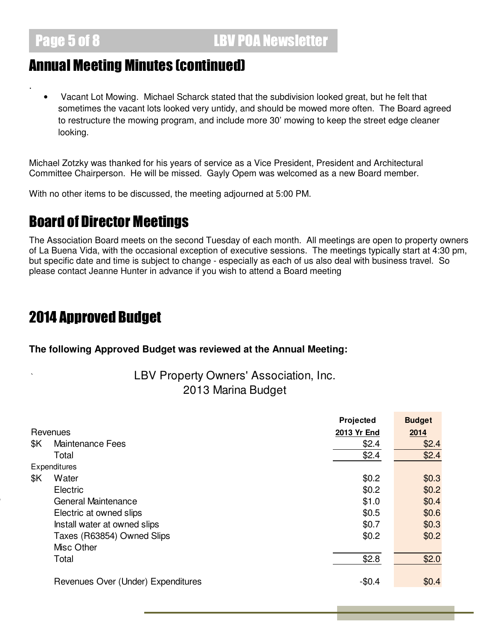.

### Annual Meeting Minutes (continued)

• Vacant Lot Mowing. Michael Scharck stated that the subdivision looked great, but he felt that sometimes the vacant lots looked very untidy, and should be mowed more often. The Board agreed to restructure the mowing program, and include more 30' mowing to keep the street edge cleaner looking.

Michael Zotzky was thanked for his years of service as a Vice President, President and Architectural Committee Chairperson. He will be missed. Gayly Opem was welcomed as a new Board member.

With no other items to be discussed, the meeting adjourned at 5:00 PM.

# Board of Director Meetings

The Association Board meets on the second Tuesday of each month. All meetings are open to property owners of La Buena Vida, with the occasional exception of executive sessions. The meetings typically start at 4:30 pm, but specific date and time is subject to change - especially as each of us also deal with business travel. So please contact Jeanne Hunter in advance if you wish to attend a Board meeting

# 2014 Approved Budget

**The following Approved Budget was reviewed at the Annual Meeting:** 

#### LBV Property Owners' Association, Inc. 2013 Marina Budget

|     |                                    | Projected   | <b>Budget</b> |
|-----|------------------------------------|-------------|---------------|
|     | Revenues                           | 2013 Yr End | 2014          |
| \$K | <b>Maintenance Fees</b>            | \$2.4       | \$2.4         |
|     | Total                              | \$2.4       | \$2.4         |
|     | Expenditures                       |             |               |
| \$Κ | Water                              | \$0.2       | \$0.3         |
|     | Electric                           | \$0.2       | \$0.2         |
|     | General Maintenance                | \$1.0       | \$0.4         |
|     | Electric at owned slips            | \$0.5       | \$0.6         |
|     | Install water at owned slips       | \$0.7       | \$0.3         |
|     | Taxes (R63854) Owned Slips         | \$0.2       | \$0.2         |
|     | Misc Other                         |             |               |
|     | Total                              | \$2.8       | \$2.0         |
|     | Revenues Over (Under) Expenditures | $-$0.4$     | \$0.4         |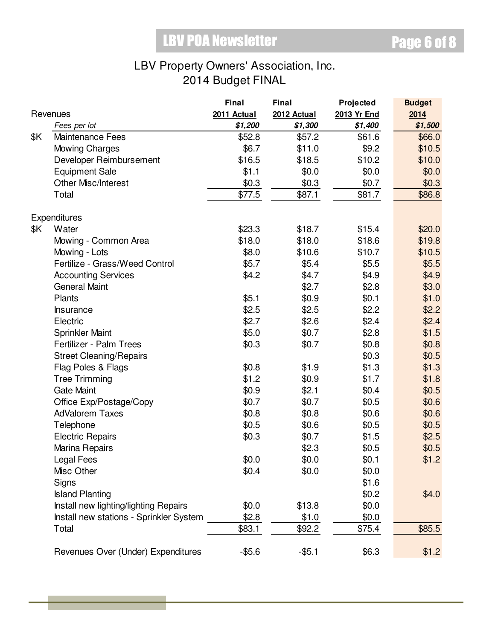### LBV Property Owners' Association, Inc. 2014 Budget FINAL

|     |                                         | <b>Final</b> | Final       | Projected   | <b>Budget</b> |
|-----|-----------------------------------------|--------------|-------------|-------------|---------------|
|     | Revenues                                | 2011 Actual  | 2012 Actual | 2013 Yr End | 2014          |
|     | Fees per lot                            | \$1,200      | \$1,300     | \$1,400     | \$1,500       |
| \$Κ | <b>Maintenance Fees</b>                 | \$52.8       | \$57.2      | \$61.6      | \$66.0        |
|     | <b>Mowing Charges</b>                   | \$6.7        | \$11.0      | \$9.2       | \$10.5        |
|     | Developer Reimbursement                 | \$16.5       | \$18.5      | \$10.2      | \$10.0        |
|     | <b>Equipment Sale</b>                   | \$1.1        | \$0.0       | \$0.0       | \$0.0         |
|     | Other Misc/Interest                     | \$0.3        | \$0.3       | \$0.7       | \$0.3         |
|     | Total                                   | \$77.5       | \$87.1      | \$81.7      | \$86.8        |
|     | Expenditures                            |              |             |             |               |
| \$Κ | Water                                   | \$23.3       | \$18.7      | \$15.4      | \$20.0        |
|     | Mowing - Common Area                    | \$18.0       | \$18.0      | \$18.6      | \$19.8        |
|     | Mowing - Lots                           | \$8.0        | \$10.6      | \$10.7      | \$10.5        |
|     | Fertilize - Grass/Weed Control          | \$5.7        | \$5.4       | \$5.5       | \$5.5         |
|     | <b>Accounting Services</b>              | \$4.2        | \$4.7       | \$4.9       | \$4.9         |
|     | <b>General Maint</b>                    |              | \$2.7       | \$2.8       | \$3.0         |
|     | Plants                                  | \$5.1        | \$0.9       | \$0.1       | \$1.0         |
|     | Insurance                               | \$2.5        | \$2.5       | \$2.2       | \$2.2         |
|     | Electric                                | \$2.7        | \$2.6       | \$2.4       | \$2.4         |
|     | <b>Sprinkler Maint</b>                  | \$5.0        | \$0.7       | \$2.8       | \$1.5         |
|     | Fertilizer - Palm Trees                 | \$0.3        | \$0.7       | \$0.8       | \$0.8         |
|     | <b>Street Cleaning/Repairs</b>          |              |             | \$0.3       | \$0.5         |
|     | Flag Poles & Flags                      | \$0.8        | \$1.9       | \$1.3       | \$1.3         |
|     | <b>Tree Trimming</b>                    | \$1.2        | \$0.9       | \$1.7       | \$1.8         |
|     | <b>Gate Maint</b>                       | \$0.9        | \$2.1       | \$0.4       | \$0.5         |
|     | Office Exp/Postage/Copy                 | \$0.7        | \$0.7       | \$0.5       | \$0.6         |
|     | <b>AdValorem Taxes</b>                  | \$0.8        | \$0.8       | \$0.6       | \$0.6\$       |
|     | Telephone                               | \$0.5        | \$0.6       | \$0.5       | \$0.5         |
|     | <b>Electric Repairs</b>                 | \$0.3        | \$0.7       | \$1.5       | \$2.5         |
|     | Marina Repairs                          |              | \$2.3       | \$0.5       | \$0.5         |
|     | Legal Fees                              | \$0.0        | \$0.0       | \$0.1       | \$1.2         |
|     | Misc Other                              | \$0.4        | \$0.0       | \$0.0       |               |
|     | Signs                                   |              |             | \$1.6       |               |
|     | <b>Island Planting</b>                  |              |             | \$0.2       | \$4.0         |
|     | Install new lighting/lighting Repairs   | \$0.0        | \$13.8      | \$0.0       |               |
|     | Install new stations - Sprinkler System | \$2.8        | \$1.0       | \$0.0       |               |
|     | Total                                   | \$83.1       | \$92.2      | \$75.4      | \$85.5        |
|     | Revenues Over (Under) Expenditures      | $-$ \$5.6    | $-$ \$5.1   | \$6.3       | \$1.2         |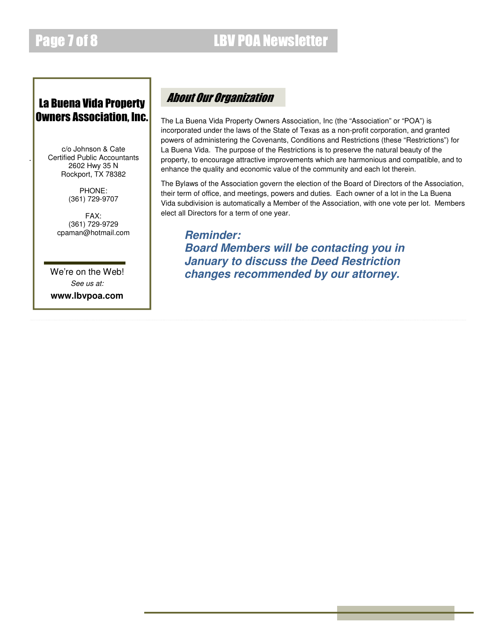.

#### La Buena Vida Property Owners Association, Inc.

c/o Johnson & Cate Certified Public Accountants 2602 Hwy 35 N Rockport, TX 78382

> PHONE: (361) 729-9707

FAX: (361) 729-9729 cpaman@hotmail.com

We're on the Web! *See us at:* 

**www.lbvpoa.com** 

#### About Our Organization

The La Buena Vida Property Owners Association, Inc (the "Association" or "POA") is incorporated under the laws of the State of Texas as a non-profit corporation, and granted powers of administering the Covenants, Conditions and Restrictions (these "Restrictions") for La Buena Vida. The purpose of the Restrictions is to preserve the natural beauty of the property, to encourage attractive improvements which are harmonious and compatible, and to enhance the quality and economic value of the community and each lot therein.

The Bylaws of the Association govern the election of the Board of Directors of the Association, their term of office, and meetings, powers and duties. Each owner of a lot in the La Buena Vida subdivision is automatically a Member of the Association, with one vote per lot. Members elect all Directors for a term of one year.

*Reminder: Board Members will be contacting you in January to discuss the Deed Restriction changes recommended by our attorney.*